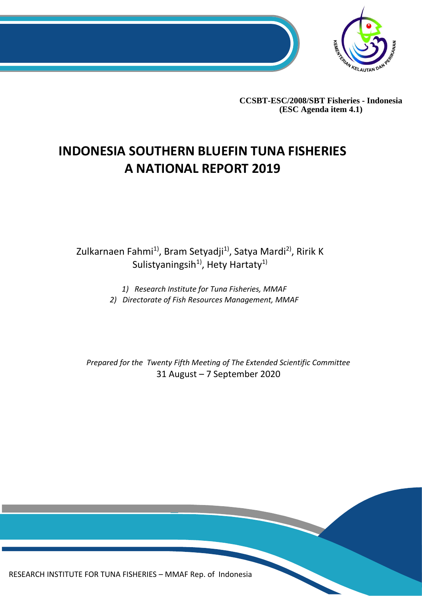

**CCSBT-ESC/2008/SBT Fisheries - Indonesia (ESC Agenda item 4.1)**

# **INDONESIA SOUTHERN BLUEFIN TUNA FISHERIES A NATIONAL REPORT 2019**

Zulkarnaen Fahmi<sup>1)</sup>, Bram Setyadji<sup>1)</sup>, Satya Mardi<sup>2)</sup>, Ririk K Sulistyaningsih<sup>1)</sup>, Hety Hartaty<sup>1)</sup>

> *1) Research Institute for Tuna Fisheries, MMAF 2) Directorate of Fish Resources Management, MMAF*

*Prepared for the Twenty Fifth Meeting of The Extended Scientific Committee* 31 August – 7 September 2020

0 RESEARCH INSTITUTE FOR TUNA FISHERIES – MMAF Rep. of Indonesia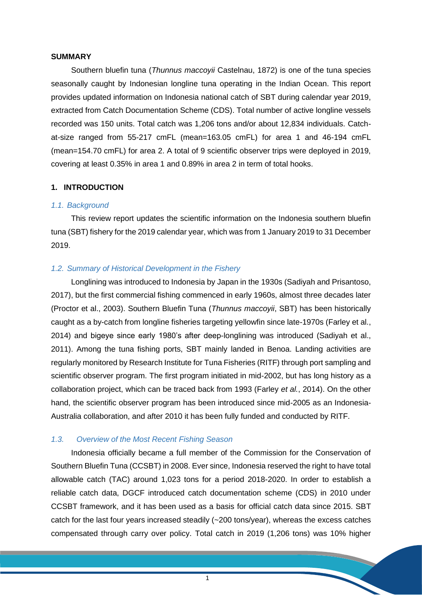#### **SUMMARY**

Southern bluefin tuna (*Thunnus maccoyii* Castelnau, 1872) is one of the tuna species seasonally caught by Indonesian longline tuna operating in the Indian Ocean. This report provides updated information on Indonesia national catch of SBT during calendar year 2019, extracted from Catch Documentation Scheme (CDS). Total number of active longline vessels recorded was 150 units. Total catch was 1,206 tons and/or about 12,834 individuals. Catchat-size ranged from 55-217 cmFL (mean=163.05 cmFL) for area 1 and 46-194 cmFL (mean=154.70 cmFL) for area 2. A total of 9 scientific observer trips were deployed in 2019, covering at least 0.35% in area 1 and 0.89% in area 2 in term of total hooks.

### **1. INTRODUCTION**

#### *1.1. Background*

This review report updates the scientific information on the Indonesia southern bluefin tuna (SBT) fishery for the 2019 calendar year, which was from 1 January 2019 to 31 December 2019.

## *1.2. Summary of Historical Development in the Fishery*

Longlining was introduced to Indonesia by Japan in the 1930s (Sadiyah and Prisantoso, 2017), but the first commercial fishing commenced in early 1960s, almost three decades later (Proctor et al., 2003). Southern Bluefin Tuna (*Thunnus maccoyii*, SBT) has been historically caught as a by-catch from longline fisheries targeting yellowfin since late-1970s (Farley et al., 2014) and bigeye since early 1980's after deep-longlining was introduced (Sadiyah et al., 2011). Among the tuna fishing ports, SBT mainly landed in Benoa. Landing activities are regularly monitored by Research Institute for Tuna Fisheries (RITF) through port sampling and scientific observer program. The first program initiated in mid-2002, but has long history as a collaboration project, which can be traced back from 1993 (Farley *et al.*, 2014). On the other hand, the scientific observer program has been introduced since mid-2005 as an Indonesia-Australia collaboration, and after 2010 it has been fully funded and conducted by RITF.

## *1.3. Overview of the Most Recent Fishing Season*

Indonesia officially became a full member of the Commission for the Conservation of Southern Bluefin Tuna (CCSBT) in 2008. Ever since, Indonesia reserved the right to have total allowable catch (TAC) around 1,023 tons for a period 2018-2020. In order to establish a reliable catch data, DGCF introduced catch documentation scheme (CDS) in 2010 under CCSBT framework, and it has been used as a basis for official catch data since 2015. SBT catch for the last four years increased steadily (~200 tons/year), whereas the excess catches compensated through carry over policy. Total catch in 2019 (1,206 tons) was 10% higher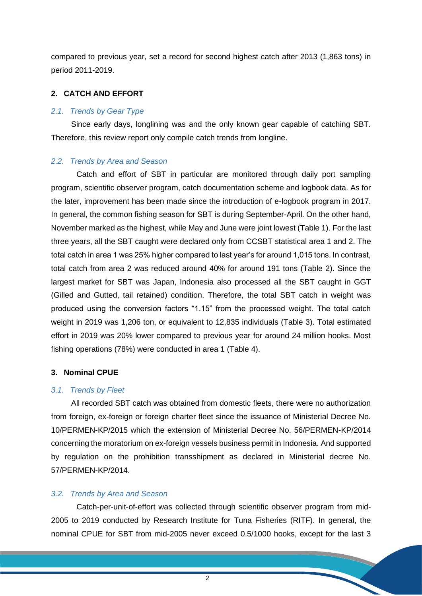compared to previous year, set a record for second highest catch after 2013 (1,863 tons) in period 2011-2019.

#### **2. CATCH AND EFFORT**

#### *2.1. Trends by Gear Type*

Since early days, longlining was and the only known gear capable of catching SBT. Therefore, this review report only compile catch trends from longline.

#### *2.2. Trends by Area and Season*

Catch and effort of SBT in particular are monitored through daily port sampling program, scientific observer program, catch documentation scheme and logbook data. As for the later, improvement has been made since the introduction of e-logbook program in 2017. In general, the common fishing season for SBT is during September-April. On the other hand, November marked as the highest, while May and June were joint lowest (Table 1). For the last three years, all the SBT caught were declared only from CCSBT statistical area 1 and 2. The total catch in area 1 was 25% higher compared to last year's for around 1,015 tons. In contrast, total catch from area 2 was reduced around 40% for around 191 tons (Table 2). Since the largest market for SBT was Japan, Indonesia also processed all the SBT caught in GGT (Gilled and Gutted, tail retained) condition. Therefore, the total SBT catch in weight was produced using the conversion factors "1.15" from the processed weight. The total catch weight in 2019 was 1,206 ton, or equivalent to 12,835 individuals (Table 3). Total estimated effort in 2019 was 20% lower compared to previous year for around 24 million hooks. Most fishing operations (78%) were conducted in area 1 (Table 4).

### **3. Nominal CPUE**

#### *3.1. Trends by Fleet*

All recorded SBT catch was obtained from domestic fleets, there were no authorization from foreign, ex-foreign or foreign charter fleet since the issuance of Ministerial Decree No. 10/PERMEN-KP/2015 which the extension of Ministerial Decree No. 56/PERMEN-KP/2014 concerning the moratorium on ex-foreign vessels business permit in Indonesia. And supported by regulation on the prohibition transshipment as declared in Ministerial decree No. 57/PERMEN-KP/2014.

## *3.2. Trends by Area and Season*

Catch-per-unit-of-effort was collected through scientific observer program from mid-2005 to 2019 conducted by Research Institute for Tuna Fisheries (RITF). In general, the nominal CPUE for SBT from mid-2005 never exceed 0.5/1000 hooks, except for the last 3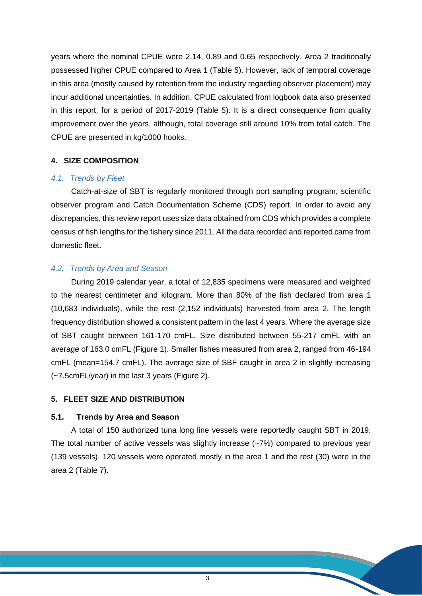years where the nominal CPUE were 2.14, 0.89 and 0.65 respectively. Area 2 traditionally possessed higher CPUE compared to Area 1 (Table 5). However, lack of temporal coverage in this area (mostly caused by retention from the industry regarding observer placement) may incur additional uncertainties. In addition, CPUE calculated from logbook data also presented in this report, for a period of 2017-2019 (Table 5). It is a direct consequence from quality improvement over the years, although, total coverage still around 10% from total catch. The CPUE are presented in kg/1000 hooks.

## **4. SIZE COMPOSITION**

#### *4.1. Trends by Fleet*

Catch-at-size of SBT is regularly monitored through port sampling program, scientific observer program and Catch Documentation Scheme (CDS) report. In order to avoid any discrepancies, this review report uses size data obtained from CDS which provides a complete census of fish lengths for the fishery since 2011. All the data recorded and reported came from domestic fleet.

## *4.2. Trends by Area and Season*

During 2019 calendar year, a total of 12,835 specimens were measured and weighted to the nearest centimeter and kilogram. More than 80% of the fish declared from area 1 (10,683 individuals), while the rest (2,152 individuals) harvested from area 2. The length frequency distribution showed a consistent pattern in the last 4 years. Where the average size of SBT caught between 161-170 cmFL. Size distributed between 55-217 cmFL with an average of 163.0 cmFL (Figure 1). Smaller fishes measured from area 2, ranged from 46-194 cmFL (mean=154.7 cmFL). The average size of SBF caught in area 2 in slightly increasing (~7.5cmFL/year) in the last 3 years (Figure 2).

## **5. FLEET SIZE AND DISTRIBUTION**

#### **5.1. Trends by Area and Season**

A total of 150 authorized tuna long line vessels were reportedly caught SBT in 2019. The total number of active vessels was slightly increase (~7%) compared to previous year (139 vessels). 120 vessels were operated mostly in the area 1 and the rest (30) were in the area 2 (Table 7).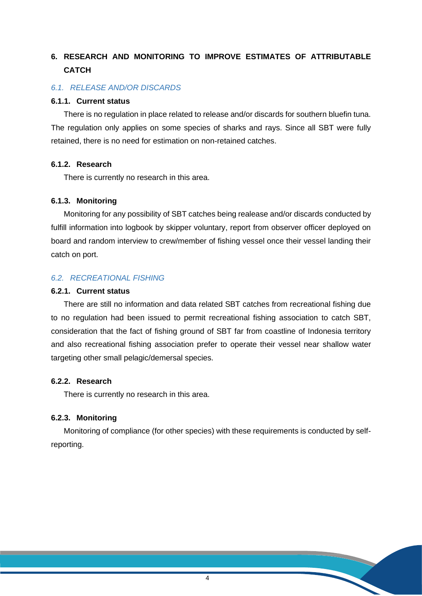## **6. RESEARCH AND MONITORING TO IMPROVE ESTIMATES OF ATTRIBUTABLE CATCH**

#### *6.1. RELEASE AND/OR DISCARDS*

### **6.1.1. Current status**

There is no regulation in place related to release and/or discards for southern bluefin tuna. The regulation only applies on some species of sharks and rays. Since all SBT were fully retained, there is no need for estimation on non-retained catches.

## **6.1.2. Research**

There is currently no research in this area.

## **6.1.3. Monitoring**

Monitoring for any possibility of SBT catches being realease and/or discards conducted by fulfill information into logbook by skipper voluntary, report from observer officer deployed on board and random interview to crew/member of fishing vessel once their vessel landing their catch on port.

## *6.2. RECREATIONAL FISHING*

## **6.2.1. Current status**

There are still no information and data related SBT catches from recreational fishing due to no regulation had been issued to permit recreational fishing association to catch SBT, consideration that the fact of fishing ground of SBT far from coastline of Indonesia territory and also recreational fishing association prefer to operate their vessel near shallow water targeting other small pelagic/demersal species.

## **6.2.2. Research**

There is currently no research in this area.

## **6.2.3. Monitoring**

Monitoring of compliance (for other species) with these requirements is conducted by selfreporting.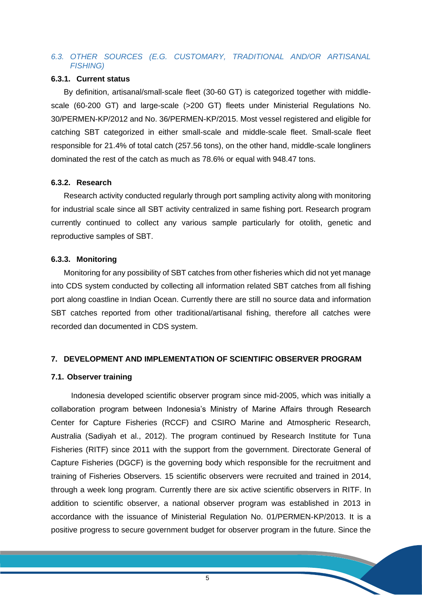## *6.3. OTHER SOURCES (E.G. CUSTOMARY, TRADITIONAL AND/OR ARTISANAL FISHING)*

#### **6.3.1. Current status**

By definition, artisanal/small-scale fleet (30-60 GT) is categorized together with middlescale (60-200 GT) and large-scale (>200 GT) fleets under Ministerial Regulations No. 30/PERMEN-KP/2012 and No. 36/PERMEN-KP/2015. Most vessel registered and eligible for catching SBT categorized in either small-scale and middle-scale fleet. Small-scale fleet responsible for 21.4% of total catch (257.56 tons), on the other hand, middle-scale longliners dominated the rest of the catch as much as 78.6% or equal with 948.47 tons.

## **6.3.2. Research**

Research activity conducted regularly through port sampling activity along with monitoring for industrial scale since all SBT activity centralized in same fishing port. Research program currently continued to collect any various sample particularly for otolith, genetic and reproductive samples of SBT.

## **6.3.3. Monitoring**

Monitoring for any possibility of SBT catches from other fisheries which did not yet manage into CDS system conducted by collecting all information related SBT catches from all fishing port along coastline in Indian Ocean. Currently there are still no source data and information SBT catches reported from other traditional/artisanal fishing, therefore all catches were recorded dan documented in CDS system.

#### **7. DEVELOPMENT AND IMPLEMENTATION OF SCIENTIFIC OBSERVER PROGRAM**

## **7.1. Observer training**

Indonesia developed scientific observer program since mid-2005, which was initially a collaboration program between Indonesia's Ministry of Marine Affairs through Research Center for Capture Fisheries (RCCF) and CSIRO Marine and Atmospheric Research, Australia (Sadiyah et al., 2012). The program continued by Research Institute for Tuna Fisheries (RITF) since 2011 with the support from the government. Directorate General of Capture Fisheries (DGCF) is the governing body which responsible for the recruitment and training of Fisheries Observers. 15 scientific observers were recruited and trained in 2014, through a week long program. Currently there are six active scientific observers in RITF. In addition to scientific observer, a national observer program was established in 2013 in accordance with the issuance of Ministerial Regulation No. 01/PERMEN-KP/2013. It is a positive progress to secure government budget for observer program in the future. Since the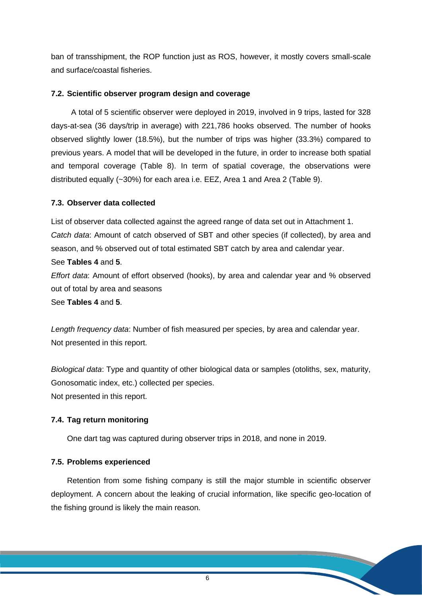ban of transshipment, the ROP function just as ROS, however, it mostly covers small-scale and surface/coastal fisheries.

## **7.2. Scientific observer program design and coverage**

A total of 5 scientific observer were deployed in 2019, involved in 9 trips, lasted for 328 days-at-sea (36 days/trip in average) with 221,786 hooks observed. The number of hooks observed slightly lower (18.5%), but the number of trips was higher (33.3%) compared to previous years. A model that will be developed in the future, in order to increase both spatial and temporal coverage (Table 8). In term of spatial coverage, the observations were distributed equally (~30%) for each area i.e. EEZ, Area 1 and Area 2 (Table 9).

## **7.3. Observer data collected**

List of observer data collected against the agreed range of data set out in Attachment 1. *Catch data*: Amount of catch observed of SBT and other species (if collected), by area and season, and % observed out of total estimated SBT catch by area and calendar year.

## See **Tables 4** and **5**.

*Effort data*: Amount of effort observed (hooks), by area and calendar year and % observed out of total by area and seasons

See **Tables 4** and **5**.

*Length frequency data*: Number of fish measured per species, by area and calendar year. Not presented in this report.

*Biological data*: Type and quantity of other biological data or samples (otoliths, sex, maturity, Gonosomatic index, etc.) collected per species. Not presented in this report.

## **7.4. Tag return monitoring**

One dart tag was captured during observer trips in 2018, and none in 2019.

## **7.5. Problems experienced**

Retention from some fishing company is still the major stumble in scientific observer deployment. A concern about the leaking of crucial information, like specific geo-location of the fishing ground is likely the main reason.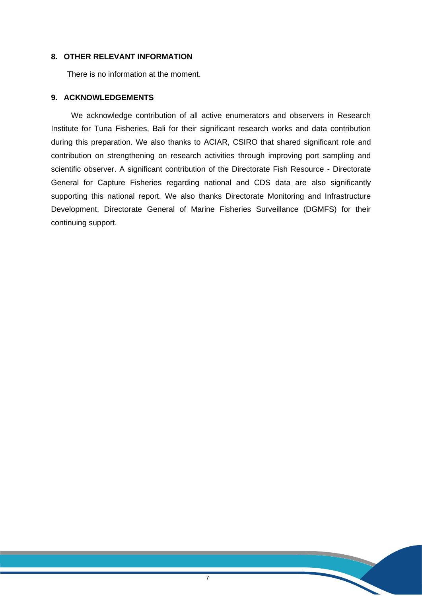## **8. OTHER RELEVANT INFORMATION**

There is no information at the moment.

## **9. ACKNOWLEDGEMENTS**

We acknowledge contribution of all active enumerators and observers in Research Institute for Tuna Fisheries, Bali for their significant research works and data contribution during this preparation. We also thanks to ACIAR, CSIRO that shared significant role and contribution on strengthening on research activities through improving port sampling and scientific observer. A significant contribution of the Directorate Fish Resource - Directorate General for Capture Fisheries regarding national and CDS data are also significantly supporting this national report. We also thanks Directorate Monitoring and Infrastructure Development, Directorate General of Marine Fisheries Surveillance (DGMFS) for their continuing support.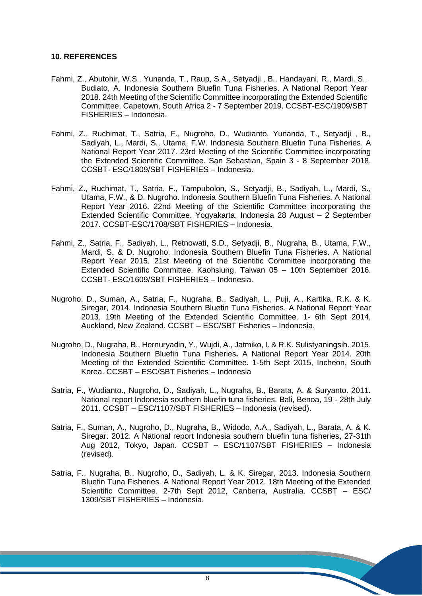## **10. REFERENCES**

- Fahmi, Z., Abutohir, W.S., Yunanda, T., Raup, S.A., Setyadji , B., Handayani, R., Mardi, S., Budiato, A. Indonesia Southern Bluefin Tuna Fisheries. A National Report Year 2018. 24th Meeting of the Scientific Committee incorporating the Extended Scientific Committee. Capetown, South Africa 2 - 7 September 2019. CCSBT-ESC/1909/SBT FISHERIES – Indonesia.
- Fahmi, Z., Ruchimat, T., Satria, F., Nugroho, D., Wudianto, Yunanda, T., Setyadji , B., Sadiyah, L., Mardi, S., Utama, F.W. Indonesia Southern Bluefin Tuna Fisheries. A National Report Year 2017. 23rd Meeting of the Scientific Committee incorporating the Extended Scientific Committee. San Sebastian, Spain 3 - 8 September 2018. CCSBT- ESC/1809/SBT FISHERIES – Indonesia.
- Fahmi, Z., Ruchimat, T., Satria, F., Tampubolon, S., Setyadji, B., Sadiyah, L., Mardi, S., Utama, F.W., & D. Nugroho. Indonesia Southern Bluefin Tuna Fisheries. A National Report Year 2016. 22nd Meeting of the Scientific Committee incorporating the Extended Scientific Committee. Yogyakarta, Indonesia 28 August – 2 September 2017. CCSBT-ESC/1708/SBT FISHERIES – Indonesia.
- Fahmi, Z., Satria, F., Sadiyah, L., Retnowati, S.D., Setyadji, B., Nugraha, B., Utama, F.W., Mardi, S. & D. Nugroho. Indonesia Southern Bluefin Tuna Fisheries. A National Report Year 2015. 21st Meeting of the Scientific Committee incorporating the Extended Scientific Committee. Kaohsiung, Taiwan 05 – 10th September 2016. CCSBT- ESC/1609/SBT FISHERIES – Indonesia.
- Nugroho, D., Suman, A., Satria, F., Nugraha, B., Sadiyah, L., Puji, A., Kartika, R.K. & K. Siregar, 2014. Indonesia Southern Bluefin Tuna Fisheries. A National Report Year 2013. 19th Meeting of the Extended Scientific Committee. 1- 6th Sept 2014, Auckland, New Zealand. CCSBT – ESC/SBT Fisheries – Indonesia.
- Nugroho, D., Nugraha, B., Hernuryadin, Y., Wujdi, A., Jatmiko, I. & R.K. Sulistyaningsih. 2015. Indonesia Southern Bluefin Tuna Fisheries**.** A National Report Year 2014. 20th Meeting of the Extended Scientific Committee. 1-5th Sept 2015, Incheon, South Korea. CCSBT – ESC/SBT Fisheries – Indonesia
- Satria, F., Wudianto., Nugroho, D., Sadiyah, L., Nugraha, B., Barata, A. & Suryanto. 2011. National report Indonesia southern bluefin tuna fisheries. Bali, Benoa, 19 - 28th July 2011. CCSBT – ESC/1107/SBT FISHERIES – Indonesia (revised).
- Satria, F., Suman, A., Nugroho, D., Nugraha, B., Widodo, A.A., Sadiyah, L., Barata, A. & K. Siregar. 2012. A National report Indonesia southern bluefin tuna fisheries, 27-31th Aug 2012, Tokyo, Japan. CCSBT – ESC/1107/SBT FISHERIES – Indonesia (revised).
- Satria, F., Nugraha, B., Nugroho, D., Sadiyah, L. & K. Siregar, 2013. Indonesia Southern Bluefin Tuna Fisheries. A National Report Year 2012. 18th Meeting of the Extended Scientific Committee. 2-7th Sept 2012, Canberra, Australia. CCSBT – ESC/ 1309/SBT FISHERIES – Indonesia.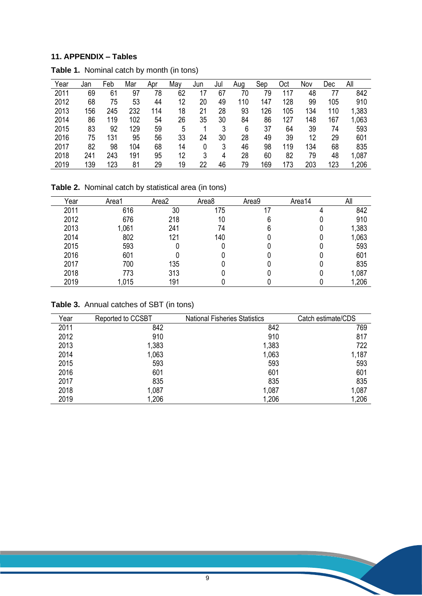## **11. APPENDIX – Tables**

| Year | Jan | Feb | Mar | Apr | May | Jun | Jul | Aug | Sep | Oct | Nov | Dec | All   |
|------|-----|-----|-----|-----|-----|-----|-----|-----|-----|-----|-----|-----|-------|
| 2011 | 69  | 61  | 97  | 78  | 62  |     | 67  | 70  | 79  | 17  | 48  | 77  | 842   |
| 2012 | 68  | 75  | 53  | 44  | 12  | 20  | 49  | 110 | 147 | 128 | 99  | 105 | 910   |
| 2013 | 156 | 245 | 232 | 114 | 18  | 21  | 28  | 93  | 126 | 105 | 134 | 110 | 1,383 |
| 2014 | 86  | 119 | 102 | 54  | 26  | 35  | 30  | 84  | 86  | 127 | 148 | 167 | 1,063 |
| 2015 | 83  | 92  | 129 | 59  | 5   |     | 3   | 6   | 37  | 64  | 39  | 74  | 593   |
| 2016 | 75  | 131 | 95  | 56  | 33  | 24  | 30  | 28  | 49  | 39  | 12  | 29  | 601   |
| 2017 | 82  | 98  | 104 | 68  | 14  |     | 3   | 46  | 98  | 119 | 134 | 68  | 835   |
| 2018 | 241 | 243 | 191 | 95  | 12  | 3   | 4   | 28  | 60  | 82  | 79  | 48  | 1,087 |
| 2019 | 139 | 123 | 81  | 29  | 19  | 22  | 46  | 79  | 169 | 173 | 203 | 123 | ,206  |

**Table 1.** Nominal catch by month (in tons)

**Table 2.** Nominal catch by statistical area (in tons)

| Year | Area1 | Area2 | Area <sub>8</sub> | Area9 | Area14 | All   |
|------|-------|-------|-------------------|-------|--------|-------|
| 2011 | 616   | 30    | 175               |       |        | 842   |
| 2012 | 676   | 218   | 10                |       |        | 910   |
| 2013 | 1,061 | 241   | 74                |       |        | 1,383 |
| 2014 | 802   | 121   | 140               |       |        | 1,063 |
| 2015 | 593   |       |                   |       |        | 593   |
| 2016 | 601   |       |                   |       |        | 601   |
| 2017 | 700   | 135   |                   |       |        | 835   |
| 2018 | 773   | 313   |                   |       |        | 1,087 |
| 2019 | 1,015 | 191   |                   |       |        | 1,206 |

**Table 3.** Annual catches of SBT (in tons)

| Year | Reported to CCSBT | <b>National Fisheries Statistics</b> | Catch estimate/CDS |
|------|-------------------|--------------------------------------|--------------------|
| 2011 | 842               | 842                                  | 769                |
| 2012 | 910               | 910                                  | 817                |
| 2013 | 1,383             | 1,383                                | 722                |
| 2014 | 1,063             | 1,063                                | 1,187              |
| 2015 | 593               | 593                                  | 593                |
| 2016 | 601               | 601                                  | 601                |
| 2017 | 835               | 835                                  | 835                |
| 2018 | 1,087             | 1,087                                | 1,087              |
| 2019 | 1,206             | 1,206                                | 1,206              |

X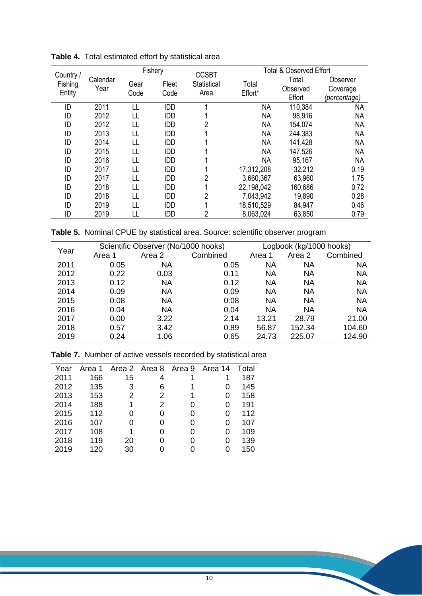|                      |                  | Fishery |            | <b>CCSBT</b> | <b>Total &amp; Observed Effort</b> |                    |                          |  |
|----------------------|------------------|---------|------------|--------------|------------------------------------|--------------------|--------------------------|--|
| Country /<br>Fishing | Calendar<br>Year | Gear    | Fleet      | Statistical  | Total                              | Total              | Observer                 |  |
| Entity               |                  | Code    | Code       | Area         | Effort*                            | Observed<br>Effort | Coverage<br>(percentage) |  |
| ID                   | 2011             | LL      | <b>IDD</b> |              | <b>NA</b>                          | 110,384            | <b>NA</b>                |  |
| ID                   | 2012             | LL      | <b>IDD</b> |              | <b>NA</b>                          | 98,916             | <b>NA</b>                |  |
| ID                   | 2012             | LL      | <b>IDD</b> | 2            | <b>NA</b>                          | 154,074            | <b>NA</b>                |  |
| ID                   | 2013             | LL      | <b>IDD</b> |              | <b>NA</b>                          | 244,383            | <b>NA</b>                |  |
| ID                   | 2014             | LL      | <b>IDD</b> |              | <b>NA</b>                          | 141,428            | <b>NA</b>                |  |
| ID                   | 2015             | LL      | <b>IDD</b> |              | <b>NA</b>                          | 147,526            | <b>NA</b>                |  |
| ID                   | 2016             | H       | <b>IDD</b> |              | <b>NA</b>                          | 95,167             | <b>NA</b>                |  |
| ID                   | 2017             | H       | <b>IDD</b> |              | 17,312,208                         | 32,212             | 0.19                     |  |
| ID                   | 2017             | LL      | <b>IDD</b> | 2            | 3,660,367                          | 63,960             | 1.75                     |  |
| ID                   | 2018             | LL      | <b>IDD</b> |              | 22,198,042                         | 160,686            | 0.72                     |  |
| ID                   | 2018             | LL      | <b>IDD</b> | 2            | 7,043,942                          | 19,890             | 0.28                     |  |
| ID                   | 2019             | LL      | <b>IDD</b> |              | 18,510,529                         | 84,947             | 0.46                     |  |
| ID                   | 2019             |         | <b>IDD</b> | 2            | 8,063,024                          | 63,850             | 0.79                     |  |

**Table 4.** Total estimated effort by statistical area

**Table 5.** Nominal CPUE by statistical area. Source: scientific observer program

| Year |        | Scientific Observer (No/1000 hooks) | Logbook (kg/1000 hooks) |           |           |           |
|------|--------|-------------------------------------|-------------------------|-----------|-----------|-----------|
|      | Area 1 | Area 2                              | Combined                | Area      | Area 2    | Combined  |
| 2011 | 0.05   | <b>NA</b>                           | 0.05                    | <b>NA</b> | ΝA        | NA        |
| 2012 | 0.22   | 0.03                                | 0.11                    | ΝA        | ΝA        | <b>NA</b> |
| 2013 | 0.12   | <b>NA</b>                           | 0.12                    | NA        | ΝA        | <b>NA</b> |
| 2014 | 0.09   | <b>NA</b>                           | 0.09                    | ΝA        | <b>NA</b> | <b>NA</b> |
| 2015 | 0.08   | <b>NA</b>                           | 0.08                    | NA        | <b>NA</b> | <b>NA</b> |
| 2016 | 0.04   | <b>NA</b>                           | 0.04                    | <b>NA</b> | ΝA        | <b>NA</b> |
| 2017 | 0.00   | 3.22                                | 2.14                    | 13.21     | 28.79     | 21.00     |
| 2018 | 0.57   | 3.42                                | 0.89                    | 56.87     | 152.34    | 104.60    |
| 2019 | 0.24   | 1.06                                | 0.65                    | 24.73     | 225.07    | 124.90    |

|  | Table 7. Number of active vessels recorded by statistical area |  |
|--|----------------------------------------------------------------|--|
|--|----------------------------------------------------------------|--|

| Year | Area 1 |    | Area 2 Area 8 | Area 9 | Area 14 | Total |
|------|--------|----|---------------|--------|---------|-------|
| 2011 | 166    | 15 | 4             |        |         | 187   |
| 2012 | 135    | 3  | 6             |        | 0       | 145   |
| 2013 | 153    | 2  | 2             |        | 0       | 158   |
| 2014 | 188    |    | 2             |        | 0       | 191   |
| 2015 | 112    |    | 0             |        | 0       | 112   |
| 2016 | 107    | O  |               |        | 0       | 107   |
| 2017 | 108    |    |               |        | 0       | 109   |
| 2018 | 119    | 20 |               |        | 0       | 139   |
| 2019 | 120    | 30 |               |        |         | 150   |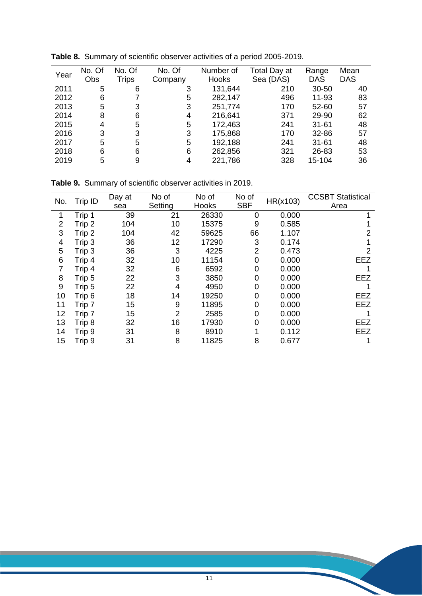| Year | No. Of | No. Of | No. Of  | Number of    | Total Day at | Range     | Mean       |
|------|--------|--------|---------|--------------|--------------|-----------|------------|
|      | Obs    | Trips  | Company | <b>Hooks</b> | Sea (DAS)    | DAS       | <b>DAS</b> |
| 2011 | 5      | 6      | 3       | 131,644      | 210          | 30-50     | 40         |
| 2012 | 6      |        | 5       | 282,147      | 496          | 11-93     | 83         |
| 2013 | 5      | 3      | 3       | 251,774      | 170          | 52-60     | 57         |
| 2014 | 8      | 6      | 4       | 216,641      | 371          | 29-90     | 62         |
| 2015 | 4      | 5      | 5       | 172,463      | 241          | $31 - 61$ | 48         |
| 2016 | 3      | 3      | 3       | 175,868      | 170          | 32-86     | 57         |
| 2017 | 5      | 5      | 5       | 192,188      | 241          | $31 - 61$ | 48         |
| 2018 | 6      | 6      | 6       | 262,856      | 321          | 26-83     | 53         |
| 2019 | 5      | 9      | 4       | 221,786      | 328          | 15-104    | 36         |

**Table 8.** Summary of scientific observer activities of a period 2005-2019.

**Table 9.** Summary of scientific observer activities in 2019.

| No.            | Trip ID | Day at | No of   | No of | No of          | HR(x103) | <b>CCSBT Statistical</b> |
|----------------|---------|--------|---------|-------|----------------|----------|--------------------------|
|                |         | sea    | Setting | Hooks | <b>SBF</b>     |          | Area                     |
|                | Trip 1  | 39     | 21      | 26330 | 0              | 0.000    |                          |
| $\overline{2}$ | Trip 2  | 104    | 10      | 15375 | 9              | 0.585    |                          |
| 3              | Trip 2  | 104    | 42      | 59625 | 66             | 1.107    |                          |
| 4              | Trip 3  | 36     | 12      | 17290 | 3              | 0.174    |                          |
| 5              | Trip 3  | 36     | 3       | 4225  | $\overline{2}$ | 0.473    | 2                        |
| 6              | Trip 4  | 32     | 10      | 11154 | $\Omega$       | 0.000    | EEZ                      |
| $\overline{7}$ | Trip 4  | 32     | 6       | 6592  | 0              | 0.000    |                          |
| 8              | Trip 5  | 22     | 3       | 3850  | 0              | 0.000    | <b>EEZ</b>               |
| 9              | Trip 5  | 22     | 4       | 4950  | 0              | 0.000    |                          |
| 10             | Trip 6  | 18     | 14      | 19250 | 0              | 0.000    | <b>EEZ</b>               |
| 11             | Trip 7  | 15     | 9       | 11895 | $\Omega$       | 0.000    | <b>EEZ</b>               |
| 12             | Trip 7  | 15     | 2       | 2585  | 0              | 0.000    |                          |
| 13             | Trip 8  | 32     | 16      | 17930 | 0              | 0.000    | <b>EEZ</b>               |
| 14             | Trip 9  | 31     | 8       | 8910  |                | 0.112    | <b>EEZ</b>               |
| 15             | Trip 9  | 31     | 8       | 11825 | 8              | 0.677    |                          |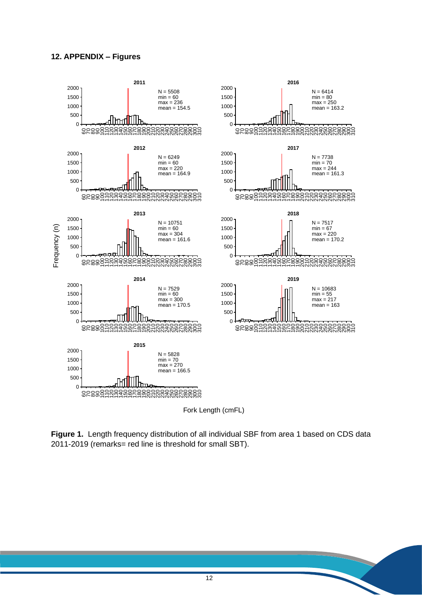## **12. APPENDIX – Figures**



**Figure 1.** Length frequency distribution of all individual SBF from area 1 based on CDS data 2011-2019 (remarks= red line is threshold for small SBT).